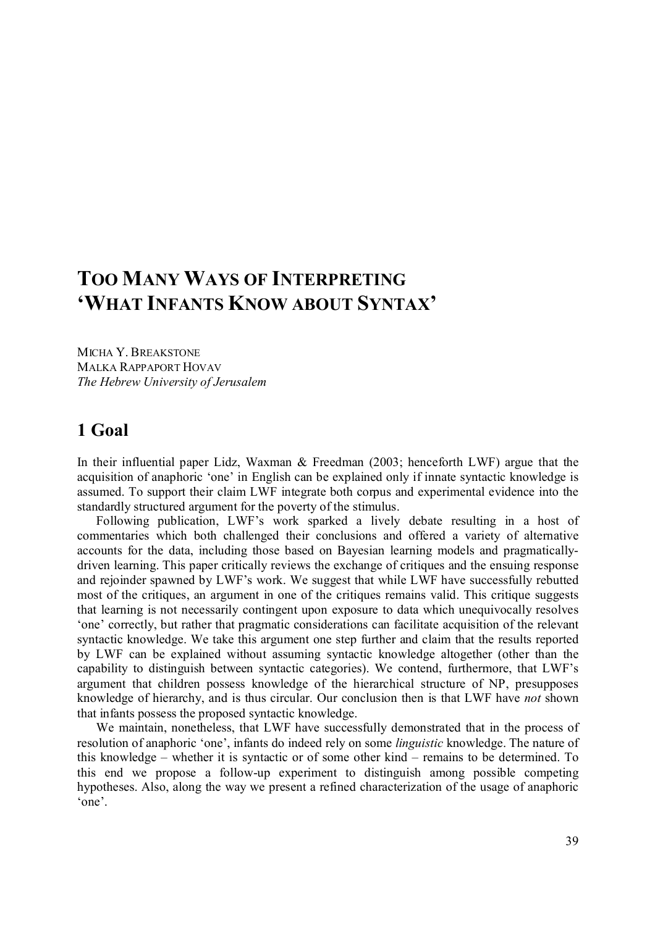# **TOO MANY WAYS OF INTERPRETING 'WHAT INFANTS KNOW ABOUT SYNTAX'**

MICHA Y. BREAKSTONE MALKA RAPPAPORT HOVAV *The Hebrew University of Jerusalem*

## **1 Goal**

In their influential paper Lidz, Waxman  $\&$  Freedman (2003; henceforth LWF) argue that the acquisition of anaphoric 'one' in English can be explained only if innate syntactic knowledge is assumed. To support their claim LWF integrate both corpus and experimental evidence into the standardly structured argument for the poverty of the stimulus.

Following publication, LWF's work sparked a lively debate resulting in a host of commentaries which both challenged their conclusions and offered a variety of alternative accounts for the data, including those based on Bayesian learning models and pragmaticallydriven learning. This paper critically reviews the exchange of critiques and the ensuing response and rejoinder spawned by LWF's work. We suggest that while LWF have successfully rebutted most of the critiques, an argument in one of the critiques remains valid. This critique suggests that learning is not necessarily contingent upon exposure to data which unequivocally resolves 'one' correctly, but rather that pragmatic considerations can facilitate acquisition of the relevant syntactic knowledge. We take this argument one step further and claim that the results reported by LWF can be explained without assuming syntactic knowledge altogether (other than the capability to distinguish between syntactic categories). We contend, furthermore, that LWF's argument that children possess knowledge of the hierarchical structure of NP, presupposes knowledge of hierarchy, and is thus circular. Our conclusion then is that LWF have *not* shown that infants possess the proposed syntactic knowledge.

We maintain, nonetheless, that LWF have successfully demonstrated that in the process of resolution of anaphoric 'one', infants do indeed rely on some *linguistic* knowledge. The nature of this knowledge – whether it is syntactic or of some other kind – remains to be determined. To this end we propose a follow-up experiment to distinguish among possible competing hypotheses. Also, along the way we present a refined characterization of the usage of anaphoric 'one'.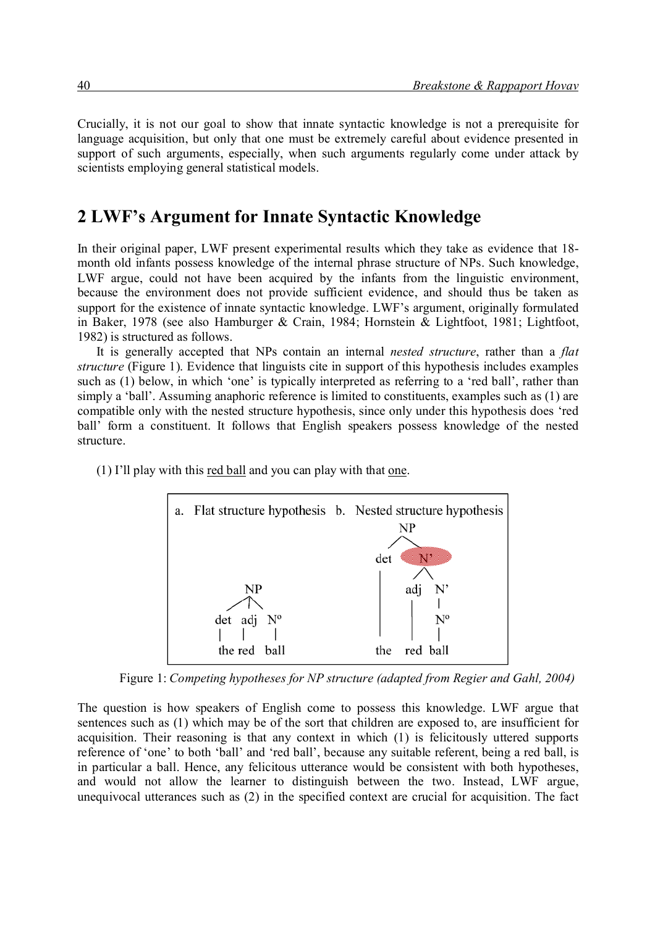Crucially, it is not our goal to show that innate syntactic knowledge is not a prerequisite for language acquisition, but only that one must be extremely careful about evidence presented in support of such arguments, especially, when such arguments regularly come under attack by scientists employing general statistical models.

### **2 LWF's Argument for Innate Syntactic Knowledge**

In their original paper, LWF present experimental results which they take as evidence that 18month old infants possess knowledge of the internal phrase structure of NPs. Such knowledge, LWF argue, could not have been acquired by the infants from the linguistic environment, because the environment does not provide sufficient evidence, and should thus be taken as support for the existence of innate syntactic knowledge. LWF's argument, originally formulated in Baker, 1978 (see also Hamburger & Crain, 1984; Hornstein & Lightfoot, 1981; Lightfoot, 1982) is structured as follows.

It is generally accepted that NPs contain an internal *nested structure*, rather than a *flat structure* (Figure 1). Evidence that linguists cite in support of this hypothesis includes examples such as (1) below, in which 'one' is typically interpreted as referring to a 'red ball', rather than simply a 'ball'. Assuming anaphoric reference is limited to constituents, examples such as (1) are compatible only with the nested structure hypothesis, since only under this hypothesis does 'red ball' form a constituent. It follows that English speakers possess knowledge of the nested structure.

(1) I'll play with this red ball and you can play with that one.



Figure 1: *Competing hypotheses for NP structure (adapted from Regier and Gahl, 2004)*

The question is how speakers of English come to possess this knowledge. LWF argue that sentences such as (1) which may be of the sort that children are exposed to, are insufficient for acquisition. Their reasoning is that any context in which (1) is felicitously uttered supports reference of 'one' to both 'ball' and 'red ball', because any suitable referent, being a red ball, is in particular a ball. Hence, any felicitous utterance would be consistent with both hypotheses, and would not allow the learner to distinguish between the two. Instead, LWF argue, unequivocal utterances such as (2) in the specified context are crucial for acquisition. The fact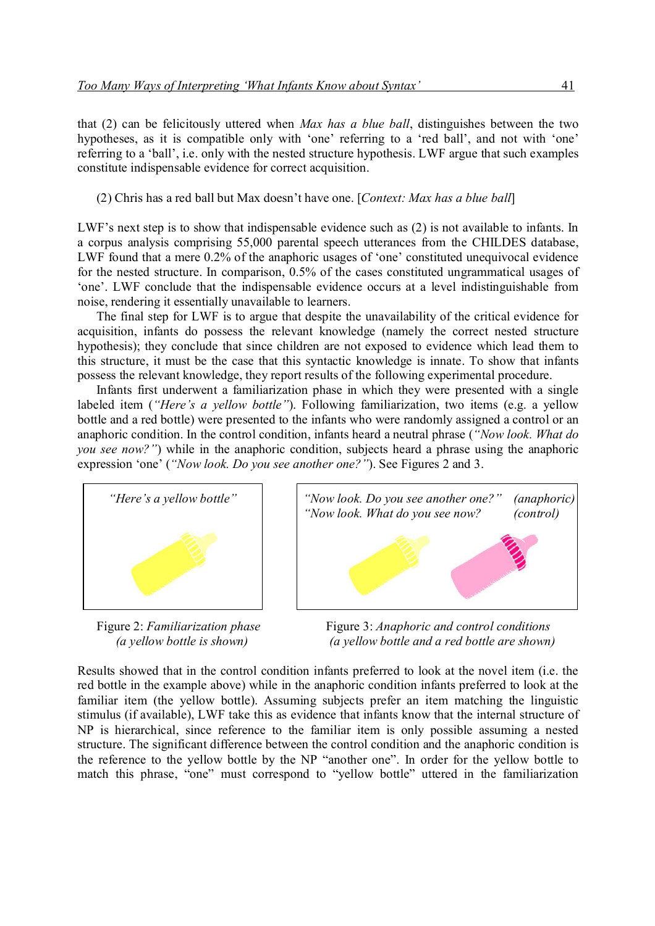that (2) can be felicitously uttered when *Max has a blue ball*, distinguishes between the two hypotheses, as it is compatible only with 'one' referring to a 'red ball', and not with 'one' referring to a 'ball', i.e. only with the nested structure hypothesis. LWF argue that such examples constitute indispensable evidence for correct acquisition.

(2) Chris has a red ball but Max doesn't have one. [*Context: Max has a blue ball*]

LWF's next step is to show that indispensable evidence such as (2) is not available to infants. In a corpus analysis comprising 55,000 parental speech utterances from the CHILDES database, LWF found that a mere 0.2% of the anaphoric usages of 'one' constituted unequivocal evidence for the nested structure. In comparison, 0.5% of the cases constituted ungrammatical usages of 'one'. LWF conclude that the indispensable evidence occurs at a level indistinguishable from noise, rendering it essentially unavailable to learners.

The final step for LWF is to argue that despite the unavailability of the critical evidence for acquisition, infants do possess the relevant knowledge (namely the correct nested structure hypothesis); they conclude that since children are not exposed to evidence which lead them to this structure, it must be the case that this syntactic knowledge is innate. To show that infants possess the relevant knowledge, they report results of the following experimental procedure.

Infants first underwent a familiarization phase in which they were presented with a single labeled item (*"Here's a yellow bottle"*). Following familiarization, two items (e.g. a yellow bottle and a red bottle) were presented to the infants who were randomly assigned a control or an anaphoric condition. In the control condition, infants heard a neutral phrase (*"Now look. What do you see now?"*) while in the anaphoric condition, subjects heard a phrase using the anaphoric expression 'one' (*"Now look. Do you see another one?"*). See Figures 2 and 3.





Figure 2: *Familiarization phase* **Figure 3:** *Anaphoric and control conditions (a yellow bottle is shown) (a yellow bottle and a red bottle are shown)*

Results showed that in the control condition infants preferred to look at the novel item (i.e. the red bottle in the example above) while in the anaphoric condition infants preferred to look at the familiar item (the yellow bottle). Assuming subjects prefer an item matching the linguistic stimulus (if available), LWF take this as evidence that infants know that the internal structure of NP is hierarchical, since reference to the familiar item is only possible assuming a nested structure. The significant difference between the control condition and the anaphoric condition is the reference to the yellow bottle by the NP "another one". In order for the yellow bottle to match this phrase, "one" must correspond to "yellow bottle" uttered in the familiarization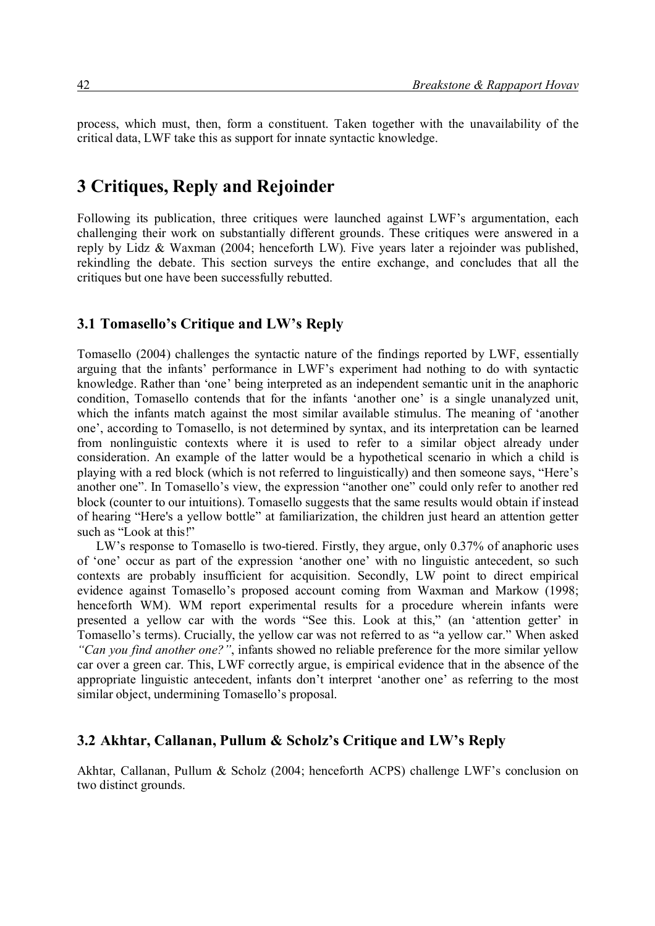process, which must, then, form a constituent. Taken together with the unavailability of the critical data, LWF take this as support for innate syntactic knowledge.

### **3 Critiques, Reply and Rejoinder**

Following its publication, three critiques were launched against LWF's argumentation, each challenging their work on substantially different grounds. These critiques were answered in a reply by Lidz & Waxman (2004; henceforth LW). Five years later a rejoinder was published, rekindling the debate. This section surveys the entire exchange, and concludes that all the critiques but one have been successfully rebutted.

#### **3.1 Tomasello's Critique and LW's Reply**

Tomasello (2004) challenges the syntactic nature of the findings reported by LWF, essentially arguing that the infants' performance in LWF's experiment had nothing to do with syntactic knowledge. Rather than 'one' being interpreted as an independent semantic unit in the anaphoric condition, Tomasello contends that for the infants 'another one' is a single unanalyzed unit, which the infants match against the most similar available stimulus. The meaning of 'another one', according to Tomasello, is not determined by syntax, and its interpretation can be learned from nonlinguistic contexts where it is used to refer to a similar object already under consideration. An example of the latter would be a hypothetical scenario in which a child is playing with a red block (which is not referred to linguistically) and then someone says, "Here's another one". In Tomasello's view, the expression "another one" could only refer to another red block (counter to our intuitions). Tomasello suggests that the same results would obtain if instead of hearing "Here's a yellow bottle" at familiarization, the children just heard an attention getter such as "Look at this!"

LW's response to Tomasello is two-tiered. Firstly, they argue, only 0.37% of anaphoric uses of 'one' occur as part of the expression 'another one' with no linguistic antecedent, so such contexts are probably insufficient for acquisition. Secondly, LW point to direct empirical evidence against Tomasello's proposed account coming from Waxman and Markow (1998; henceforth WM). WM report experimental results for a procedure wherein infants were presented a yellow car with the words "See this. Look at this," (an 'attention getter' in Tomasello's terms). Crucially, the yellow car was not referred to as "a yellow car." When asked *"Can you find another one?"*, infants showed no reliable preference for the more similar yellow car over a green car. This, LWF correctly argue, is empirical evidence that in the absence of the appropriate linguistic antecedent, infants don't interpret 'another one' as referring to the most similar object, undermining Tomasello's proposal.

#### **3.2 Akhtar, Callanan, Pullum & Scholz's Critique and LW's Reply**

Akhtar, Callanan, Pullum & Scholz (2004; henceforth ACPS) challenge LWF's conclusion on two distinct grounds.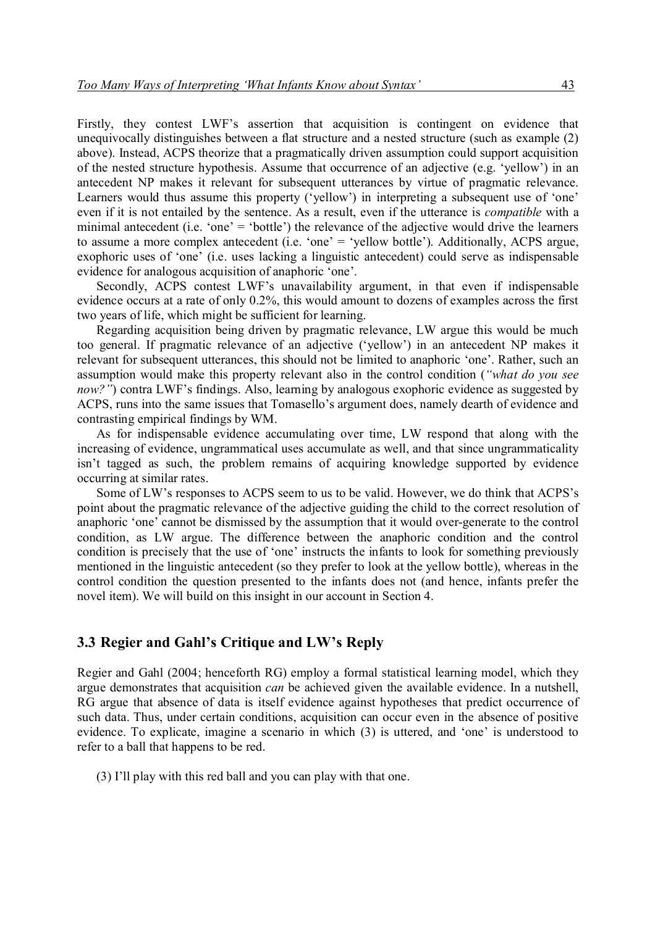Firstly, they contest LWF's assertion that acquisition is contingent on evidence that unequivocally distinguishes between a flat structure and a nested structure (such as example (2) above). Instead, ACPS theorize that a pragmatically driven assumption could support acquisition of the nested structure hypothesis. Assume that occurrence of an adjective (e.g. 'yellow') in an antecedent NP makes it relevant for subsequent utterances by virtue of pragmatic relevance. Learners would thus assume this property ('yellow') in interpreting a subsequent use of 'one' even if it is not entailed by the sentence. As a result, even if the utterance is *compatible* with a minimal antecedent (i.e. 'one' = 'bottle') the relevance of the adjective would drive the learners to assume a more complex antecedent (i.e. 'one' = 'yellow bottle'). Additionally, ACPS argue, exophoric uses of 'one' (i.e. uses lacking a linguistic antecedent) could serve as indispensable evidence for analogous acquisition of anaphoric 'one'.

Secondly, ACPS contest LWF's unavailability argument, in that even if indispensable evidence occurs at a rate of only 0.2%, this would amount to dozens of examples across the first two years of life, which might be sufficient for learning.

Regarding acquisition being driven by pragmatic relevance, LW argue this would be much too general. If pragmatic relevance of an adjective ('yellow') in an antecedent NP makes it relevant for subsequent utterances, this should not be limited to anaphoric 'one'. Rather, such an assumption would make this property relevant also in the control condition (*"what do you see now?"*) contra LWF's findings. Also, learning by analogous exophoric evidence as suggested by ACPS, runs into the same issues that Tomasello's argument does, namely dearth of evidence and contrasting empirical findings by WM.

As for indispensable evidence accumulating over time, LW respond that along with the increasing of evidence, ungrammatical uses accumulate as well, and that since ungrammaticality isn't tagged as such, the problem remains of acquiring knowledge supported by evidence occurring at similar rates.

Some of LW's responses to ACPS seem to us to be valid. However, we do think that ACPS's point about the pragmatic relevance of the adjective guiding the child to the correct resolution of anaphoric 'one' cannot be dismissed by the assumption that it would over-generate to the control condition, as LW argue. The difference between the anaphoric condition and the control condition is precisely that the use of 'one' instructs the infants to look for something previously mentioned in the linguistic antecedent (so they prefer to look at the yellow bottle), whereas in the control condition the question presented to the infants does not (and hence, infants prefer the novel item). We will build on this insight in our account in Section 4.

#### **3.3 Regier and Gahl's Critique and LW's Reply**

Regier and Gahl (2004; henceforth RG) employ a formal statistical learning model, which they argue demonstrates that acquisition *can* be achieved given the available evidence. In a nutshell, RG argue that absence of data is itself evidence against hypotheses that predict occurrence of such data. Thus, under certain conditions, acquisition can occur even in the absence of positive evidence. To explicate, imagine a scenario in which (3) is uttered, and 'one' is understood to refer to a ball that happens to be red.

(3) I'll play with this red ball and you can play with that one.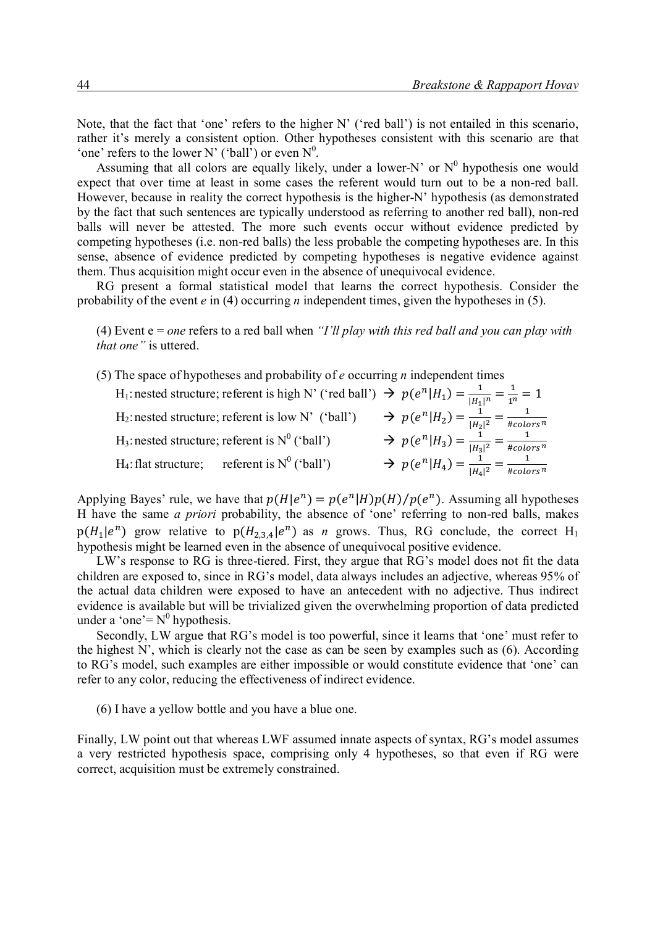Note, that the fact that 'one' refers to the higher N' ('red ball') is not entailed in this scenario, rather it's merely a consistent option. Other hypotheses consistent with this scenario are that 'one' refers to the lower N' ('ball') or even  $N^0$ .

Assuming that all colors are equally likely, under a lower-N' or  $N^0$  hypothesis one would expect that over time at least in some cases the referent would turn out to be a non-red ball. However, because in reality the correct hypothesis is the higher-N' hypothesis (as demonstrated by the fact that such sentences are typically understood as referring to another red ball), non-red balls will never be attested. The more such events occur without evidence predicted by competing hypotheses (i.e. non-red balls) the less probable the competing hypotheses are. In this sense, absence of evidence predicted by competing hypotheses is negative evidence against them. Thus acquisition might occur even in the absence of unequivocal evidence.

RG present a formal statistical model that learns the correct hypothesis. Consider the probability of the event *e* in (4) occurring *n* independent times, given the hypotheses in (5).

(4) Event e = *one* refers to a red ball when *"I'll play with this red ball and you can play with that one"* is uttered.

(5) The space of hypotheses and probability of *e* occurring *n* independent times

| H <sub>1</sub> : nested structure; referent is high N' ('red ball') $\Rightarrow$ $p(e^n H_1) = \frac{1}{ H_1 ^n} = \frac{1}{1^n} = 1$ |                                                                      |
|----------------------------------------------------------------------------------------------------------------------------------------|----------------------------------------------------------------------|
| H <sub>2</sub> : nested structure; referent is low N' ('ball') $\rightarrow p(e^n H_2) = \frac{1}{ H_2 ^2} = \frac{1}{\# colors^n}$    |                                                                      |
| H <sub>3</sub> : nested structure; referent is $N^0$ ('ball')                                                                          | $\Rightarrow p(e^n H_3) = \frac{1}{ H_3 ^2} = \frac{1}{\# colors^n}$ |
| H <sub>4</sub> : flat structure; referent is $N^0$ ('ball')                                                                            | $\Rightarrow p(e^n H_4) = \frac{1}{ H_4 ^2} = \frac{1}{\# colors^n}$ |

Applying Bayes' rule, we have that  $p(H|e^n) = p(e^n|H)p(H)/p(e^n)$ . Assuming all hypotheses H have the same *a priori* probability, the absence of 'one' referring to non-red balls, makes  $p(H_1|e^n)$  grow relative to  $p(H_{2,3,4}|e^n)$  as *n* grows. Thus, RG conclude, the correct H<sub>1</sub> hypothesis might be learned even in the absence of unequivocal positive evidence.

LW's response to RG is three-tiered. First, they argue that RG's model does not fit the data children are exposed to, since in RG's model, data always includes an adjective, whereas 95% of the actual data children were exposed to have an antecedent with no adjective. Thus indirect evidence is available but will be trivialized given the overwhelming proportion of data predicted under a 'one' =  $N^0$  hypothesis.

Secondly, LW argue that RG's model is too powerful, since it learns that 'one' must refer to the highest N', which is clearly not the case as can be seen by examples such as (6). According to RG's model, such examples are either impossible or would constitute evidence that 'one' can refer to any color, reducing the effectiveness of indirect evidence.

(6) I have a yellow bottle and you have a blue one.

Finally, LW point out that whereas LWF assumed innate aspects of syntax, RG's model assumes a very restricted hypothesis space, comprising only 4 hypotheses, so that even if RG were correct, acquisition must be extremely constrained.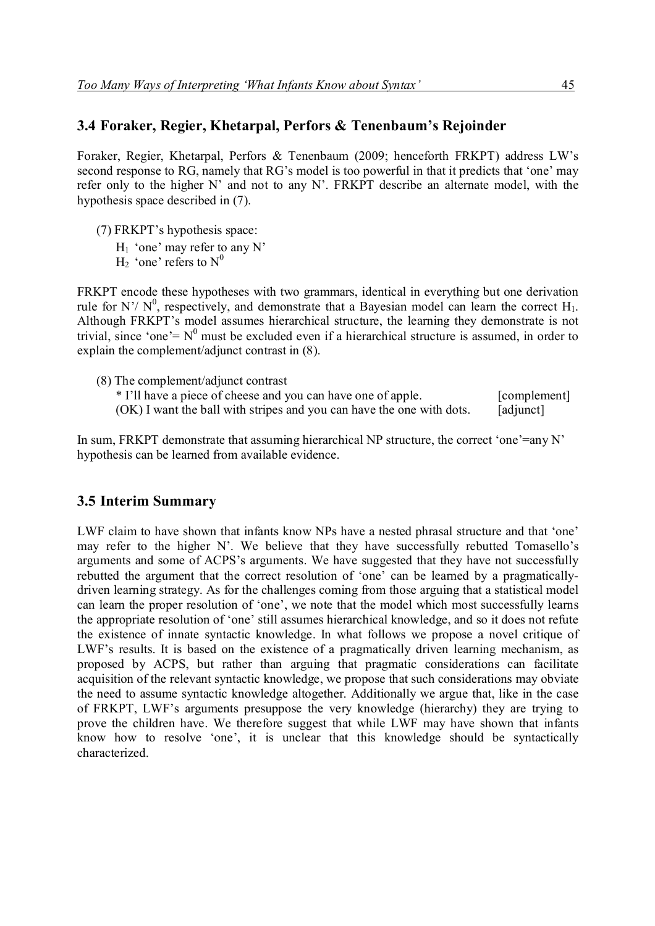#### **3.4 Foraker, Regier, Khetarpal, Perfors & Tenenbaum's Rejoinder**

Foraker, Regier, Khetarpal, Perfors & Tenenbaum (2009; henceforth FRKPT) address LW's second response to RG, namely that RG's model is too powerful in that it predicts that 'one' may refer only to the higher N' and not to any N'. FRKPT describe an alternate model, with the hypothesis space described in (7).

- (7) FRKPT's hypothesis space:
	- $H_1$  'one' may refer to any N'
		- $H_2$  'one' refers to  $N^0$

FRKPT encode these hypotheses with two grammars, identical in everything but one derivation rule for N'/  $N^0$ , respectively, and demonstrate that a Bayesian model can learn the correct H<sub>1</sub>. Although FRKPT's model assumes hierarchical structure, the learning they demonstrate is not trivial, since 'one' =  $N^0$  must be excluded even if a hierarchical structure is assumed, in order to explain the complement/adjunct contrast in (8).

(8) The complement/adjunct contrast \* I'll have a piece of cheese and you can have one of apple. [complement]  $(OK)$  I want the ball with stripes and you can have the one with dots. [adjunct]

In sum, FRKPT demonstrate that assuming hierarchical NP structure, the correct 'one'=any N' hypothesis can be learned from available evidence.

#### **3.5 Interim Summary**

LWF claim to have shown that infants know NPs have a nested phrasal structure and that 'one' may refer to the higher N'. We believe that they have successfully rebutted Tomasello's arguments and some of ACPS's arguments. We have suggested that they have not successfully rebutted the argument that the correct resolution of 'one' can be learned by a pragmaticallydriven learning strategy. As for the challenges coming from those arguing that a statistical model can learn the proper resolution of 'one', we note that the model which most successfully learns the appropriate resolution of 'one' still assumes hierarchical knowledge, and so it does not refute the existence of innate syntactic knowledge. In what follows we propose a novel critique of LWF's results. It is based on the existence of a pragmatically driven learning mechanism, as proposed by ACPS, but rather than arguing that pragmatic considerations can facilitate acquisition of the relevant syntactic knowledge, we propose that such considerations may obviate the need to assume syntactic knowledge altogether. Additionally we argue that, like in the case of FRKPT, LWF's arguments presuppose the very knowledge (hierarchy) they are trying to prove the children have. We therefore suggest that while LWF may have shown that infants know how to resolve 'one', it is unclear that this knowledge should be syntactically characterized.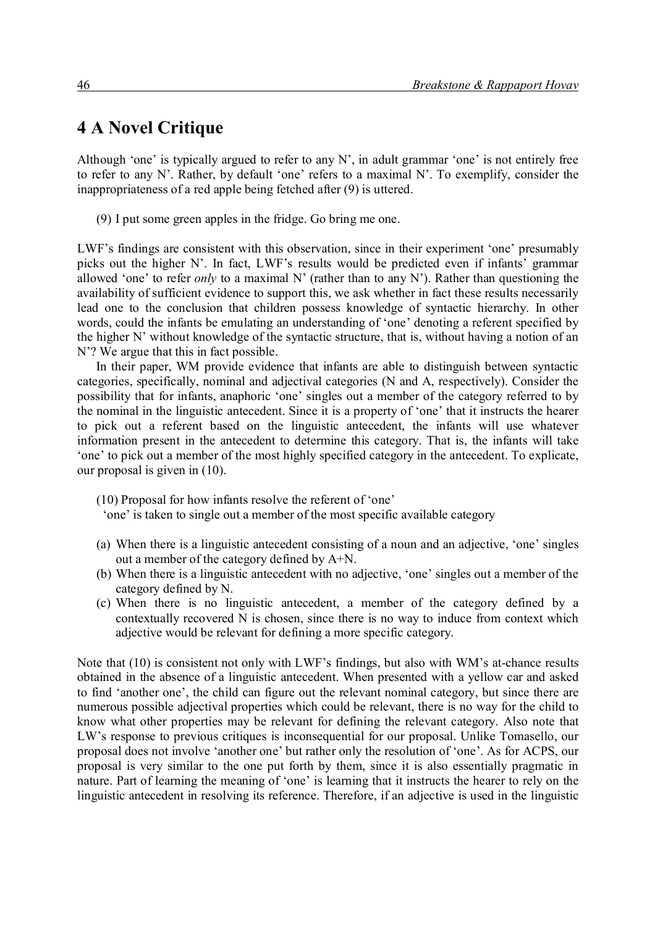# **4 A Novel Critique**

Although 'one' is typically argued to refer to any N', in adult grammar 'one' is not entirely free to refer to any N'. Rather, by default 'one' refers to a maximal N'. To exemplify, consider the inappropriateness of a red apple being fetched after (9) is uttered.

(9) I put some green apples in the fridge. Go bring me one.

LWF's findings are consistent with this observation, since in their experiment 'one' presumably picks out the higher N'. In fact, LWF's results would be predicted even if infants' grammar allowed 'one' to refer *only* to a maximal N' (rather than to any N'). Rather than questioning the availability of sufficient evidence to support this, we ask whether in fact these results necessarily lead one to the conclusion that children possess knowledge of syntactic hierarchy. In other words, could the infants be emulating an understanding of 'one' denoting a referent specified by the higher N' without knowledge of the syntactic structure, that is, without having a notion of an N'? We argue that this in fact possible.

In their paper, WM provide evidence that infants are able to distinguish between syntactic categories, specifically, nominal and adjectival categories (N and A, respectively). Consider the possibility that for infants, anaphoric 'one' singles out a member of the category referred to by the nominal in the linguistic antecedent. Since it is a property of 'one' that it instructs the hearer to pick out a referent based on the linguistic antecedent, the infants will use whatever information present in the antecedent to determine this category. That is, the infants will take 'one' to pick out a member of the most highly specified category in the antecedent. To explicate, our proposal is given in (10).

(10) Proposal for how infants resolve the referent of 'one'

'one' is taken to single out a member of the most specific available category

- (a) When there is a linguistic antecedent consisting of a noun and an adjective, 'one' singles out a member of the category defined by A+N.
- (b) When there is a linguistic antecedent with no adjective, 'one' singles out a member of the category defined by N.
- (c) When there is no linguistic antecedent, a member of the category defined by a contextually recovered N is chosen, since there is no way to induce from context which adjective would be relevant for defining a more specific category.

Note that (10) is consistent not only with LWF's findings, but also with WM's at-chance results obtained in the absence of a linguistic antecedent. When presented with a yellow car and asked to find 'another one', the child can figure out the relevant nominal category, but since there are numerous possible adjectival properties which could be relevant, there is no way for the child to know what other properties may be relevant for defining the relevant category. Also note that LW's response to previous critiques is inconsequential for our proposal. Unlike Tomasello, our proposal does not involve 'another one' but rather only the resolution of 'one'. As for ACPS, our proposal is very similar to the one put forth by them, since it is also essentially pragmatic in nature. Part of learning the meaning of 'one' is learning that it instructs the hearer to rely on the linguistic antecedent in resolving its reference. Therefore, if an adjective is used in the linguistic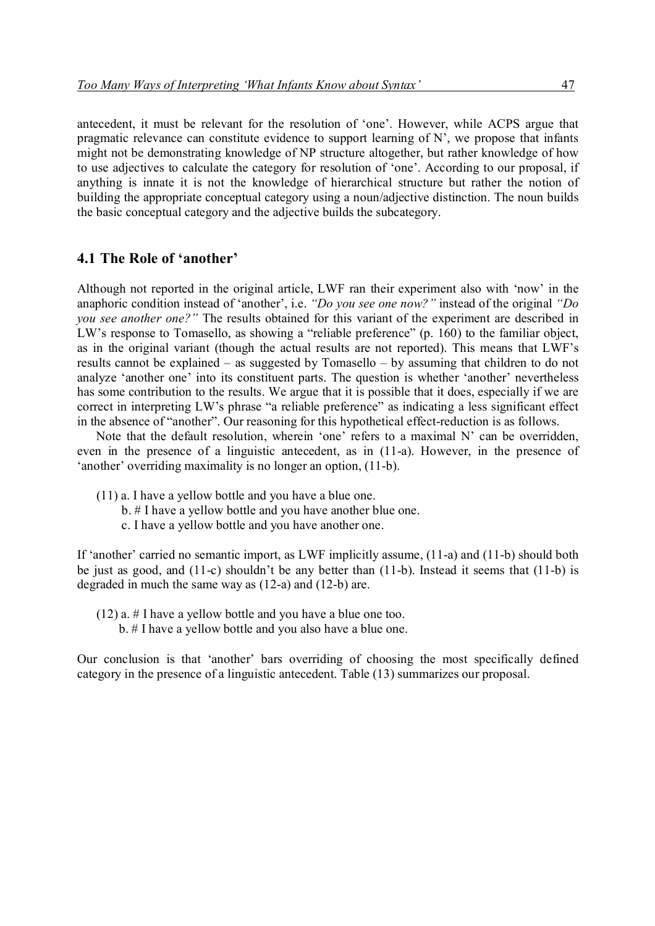antecedent, it must be relevant for the resolution of 'one'. However, while ACPS argue that pragmatic relevance can constitute evidence to support learning of N', we propose that infants might not be demonstrating knowledge of NP structure altogether, but rather knowledge of how to use adjectives to calculate the category for resolution of 'one'. According to our proposal, if anything is innate it is not the knowledge of hierarchical structure but rather the notion of building the appropriate conceptual category using a noun/adjective distinction. The noun builds the basic conceptual category and the adjective builds the subcategory.

#### **4.1 The Role of 'another'**

Although not reported in the original article, LWF ran their experiment also with 'now' in the anaphoric condition instead of 'another', i.e. *"Do you see one now?"* instead of the original *"Do you see another one?"* The results obtained for this variant of the experiment are described in LW's response to Tomasello, as showing a "reliable preference" (p. 160) to the familiar object, as in the original variant (though the actual results are not reported). This means that LWF's results cannot be explained – as suggested by Tomasello – by assuming that children to do not analyze 'another one' into its constituent parts. The question is whether 'another' nevertheless has some contribution to the results. We argue that it is possible that it does, especially if we are correct in interpreting LW's phrase "a reliable preference" as indicating a less significant effect in the absence of "another". Our reasoning for this hypothetical effect-reduction is as follows.

Note that the default resolution, wherein 'one' refers to a maximal N' can be overridden, even in the presence of a linguistic antecedent, as in (11-a). However, in the presence of 'another' overriding maximality is no longer an option, (11-b).

- (11) a. I have a yellow bottle and you have a blue one.
	- b. # I have a yellow bottle and you have another blue one.
	- c. I have a yellow bottle and you have another one.

If 'another' carried no semantic import, as LWF implicitly assume, (11-a) and (11-b) should both be just as good, and (11-c) shouldn't be any better than (11-b). Instead it seems that (11-b) is degraded in much the same way as (12-a) and (12-b) are.

- (12) a. # I have a yellow bottle and you have a blue one too.
	- b. # I have a yellow bottle and you also have a blue one.

Our conclusion is that 'another' bars overriding of choosing the most specifically defined category in the presence of a linguistic antecedent. Table (13) summarizes our proposal.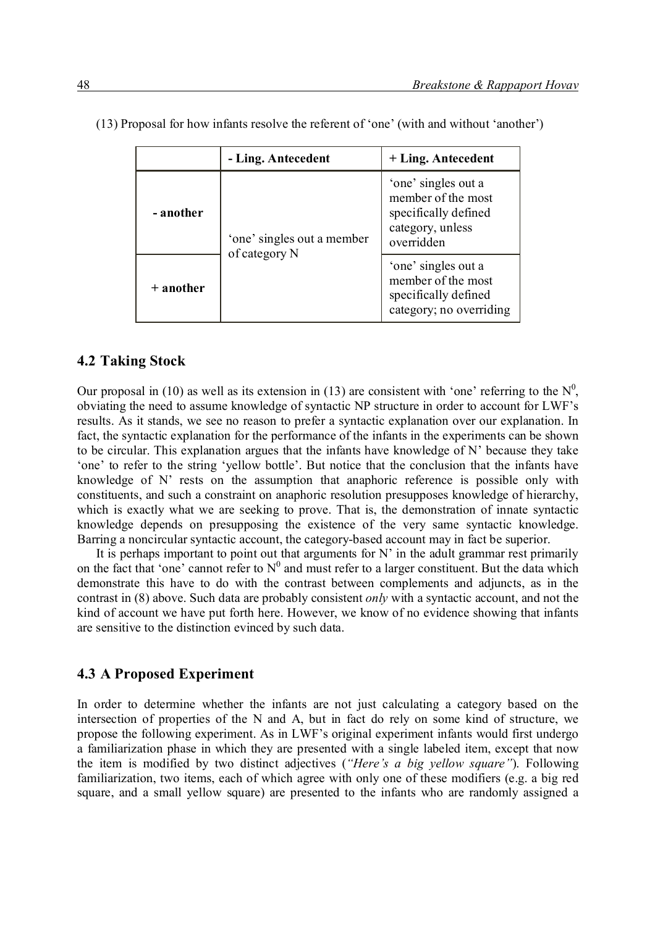|             | - Ling. Antecedent                          | + Ling. Antecedent                                                                                  |
|-------------|---------------------------------------------|-----------------------------------------------------------------------------------------------------|
| - another   | 'one' singles out a member<br>of category N | 'one' singles out a<br>member of the most<br>specifically defined<br>category, unless<br>overridden |
| $+$ another |                                             | 'one' singles out a<br>member of the most<br>specifically defined<br>category; no overriding        |

(13) Proposal for how infants resolve the referent of 'one' (with and without 'another')

#### **4.2 Taking Stock**

Our proposal in (10) as well as its extension in (13) are consistent with 'one' referring to the  $N^0$ , obviating the need to assume knowledge of syntactic NP structure in order to account for LWF's results. As it stands, we see no reason to prefer a syntactic explanation over our explanation. In fact, the syntactic explanation for the performance of the infants in the experiments can be shown to be circular. This explanation argues that the infants have knowledge of N' because they take 'one' to refer to the string 'yellow bottle'. But notice that the conclusion that the infants have knowledge of N' rests on the assumption that anaphoric reference is possible only with constituents, and such a constraint on anaphoric resolution presupposes knowledge of hierarchy, which is exactly what we are seeking to prove. That is, the demonstration of innate syntactic knowledge depends on presupposing the existence of the very same syntactic knowledge. Barring a noncircular syntactic account, the category-based account may in fact be superior.

It is perhaps important to point out that arguments for  $N'$  in the adult grammar rest primarily on the fact that 'one' cannot refer to  $N^0$  and must refer to a larger constituent. But the data which demonstrate this have to do with the contrast between complements and adjuncts, as in the contrast in (8) above. Such data are probably consistent *only* with a syntactic account, and not the kind of account we have put forth here. However, we know of no evidence showing that infants are sensitive to the distinction evinced by such data.

#### **4.3 A Proposed Experiment**

In order to determine whether the infants are not just calculating a category based on the intersection of properties of the N and A, but in fact do rely on some kind of structure, we propose the following experiment. As in LWF's original experiment infants would first undergo a familiarization phase in which they are presented with a single labeled item, except that now the item is modified by two distinct adjectives (*"Here's a big yellow square"*). Following familiarization, two items, each of which agree with only one of these modifiers (e.g. a big red square, and a small yellow square) are presented to the infants who are randomly assigned a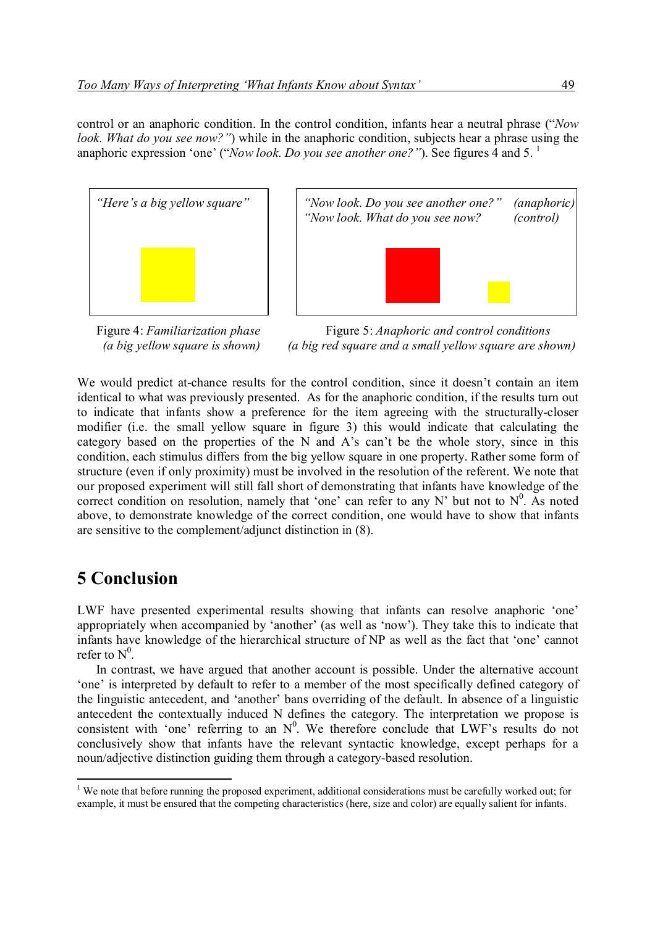control or an anaphoric condition. In the control condition, infants hear a neutral phrase ("*Now look. What do you see now?"*) while in the anaphoric condition, subjects hear a phrase using the anaphoric expression 'one' ("*Now look. Do you see another one?*"). See figures 4 and 5.<sup>1</sup>





Figure 4: *Familiarization phase* **Figure 5:** *Anaphoric and control conditions (a big yellow square is shown) (a big red square and a small yellow square are shown)*

We would predict at-chance results for the control condition, since it doesn't contain an item identical to what was previously presented. As for the anaphoric condition, if the results turn out to indicate that infants show a preference for the item agreeing with the structurally-closer modifier (i.e. the small yellow square in figure 3) this would indicate that calculating the category based on the properties of the N and A's can't be the whole story, since in this condition, each stimulus differs from the big yellow square in one property. Rather some form of structure (even if only proximity) must be involved in the resolution of the referent. We note that our proposed experiment will still fall short of demonstrating that infants have knowledge of the correct condition on resolution, namely that 'one' can refer to any N' but not to  $N^0$ . As noted above, to demonstrate knowledge of the correct condition, one would have to show that infants are sensitive to the complement/adjunct distinction in (8).

# **5 Conclusion**

LWF have presented experimental results showing that infants can resolve anaphoric 'one' appropriately when accompanied by 'another' (as well as 'now'). They take this to indicate that infants have knowledge of the hierarchical structure of NP as well as the fact that 'one' cannot refer to  $N^0$ .

In contrast, we have argued that another account is possible. Under the alternative account 'one' is interpreted by default to refer to a member of the most specifically defined category of the linguistic antecedent, and 'another' bans overriding of the default. In absence of a linguistic antecedent the contextually induced N defines the category. The interpretation we propose is consistent with 'one' referring to an  $N^0$ . We therefore conclude that LWF's results do not conclusively show that infants have the relevant syntactic knowledge, except perhaps for a noun/adjective distinction guiding them through a category-based resolution.

<sup>-</sup><sup>1</sup> We note that before running the proposed experiment, additional considerations must be carefully worked out; for example, it must be ensured that the competing characteristics (here, size and color) are equally salient for infants.